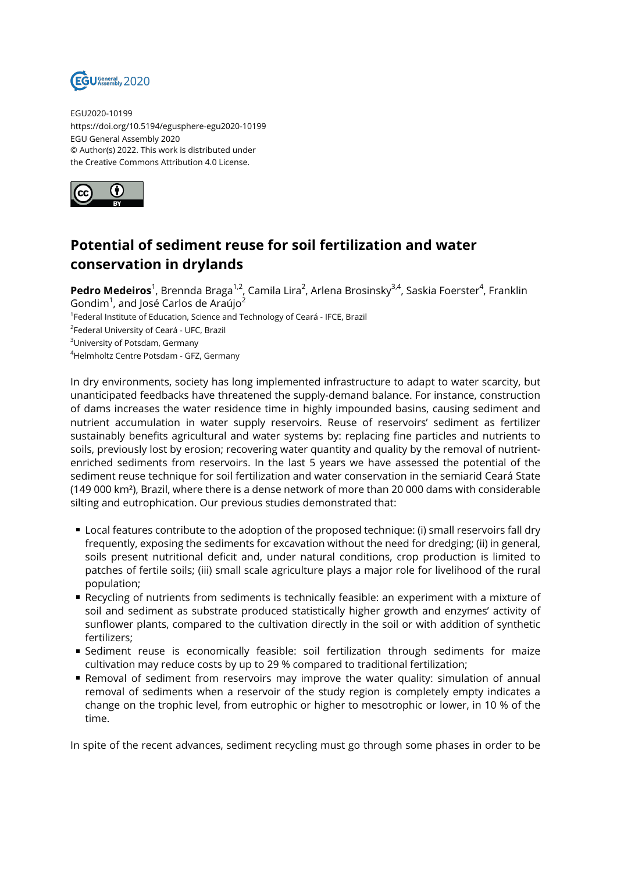

EGU2020-10199 https://doi.org/10.5194/egusphere-egu2020-10199 EGU General Assembly 2020 © Author(s) 2022. This work is distributed under the Creative Commons Attribution 4.0 License.



## **Potential of sediment reuse for soil fertilization and water conservation in drylands**

**Pedro Medeiros**<sup>1</sup>, Brennda Braga<sup>1,2</sup>, Camila Lira<sup>2</sup>, Arlena Brosinsky<sup>3,4</sup>, Saskia Foerster<sup>4</sup>, Franklin Gondim $^1$ , and José Carlos de Araújo $^2$ 

<sup>1</sup>Federal Institute of Education, Science and Technology of Ceará - IFCE, Brazil

<sup>2</sup>Federal University of Ceará - UFC, Brazil

<sup>3</sup>University of Potsdam, Germany

<sup>4</sup>Helmholtz Centre Potsdam - GFZ, Germany

In dry environments, society has long implemented infrastructure to adapt to water scarcity, but unanticipated feedbacks have threatened the supply-demand balance. For instance, construction of dams increases the water residence time in highly impounded basins, causing sediment and nutrient accumulation in water supply reservoirs. Reuse of reservoirs' sediment as fertilizer sustainably benefits agricultural and water systems by: replacing fine particles and nutrients to soils, previously lost by erosion; recovering water quantity and quality by the removal of nutrientenriched sediments from reservoirs. In the last 5 years we have assessed the potential of the sediment reuse technique for soil fertilization and water conservation in the semiarid Ceará State (149 000 km²), Brazil, where there is a dense network of more than 20 000 dams with considerable silting and eutrophication. Our previous studies demonstrated that:

- Local features contribute to the adoption of the proposed technique: (i) small reservoirs fall dry frequently, exposing the sediments for excavation without the need for dredging; (ii) in general, soils present nutritional deficit and, under natural conditions, crop production is limited to patches of fertile soils; (iii) small scale agriculture plays a major role for livelihood of the rural population;
- Recycling of nutrients from sediments is technically feasible: an experiment with a mixture of soil and sediment as substrate produced statistically higher growth and enzymes' activity of sunflower plants, compared to the cultivation directly in the soil or with addition of synthetic fertilizers;
- Sediment reuse is economically feasible: soil fertilization through sediments for maize cultivation may reduce costs by up to 29 % compared to traditional fertilization;
- Removal of sediment from reservoirs may improve the water quality: simulation of annual removal of sediments when a reservoir of the study region is completely empty indicates a change on the trophic level, from eutrophic or higher to mesotrophic or lower, in 10 % of the time.

In spite of the recent advances, sediment recycling must go through some phases in order to be